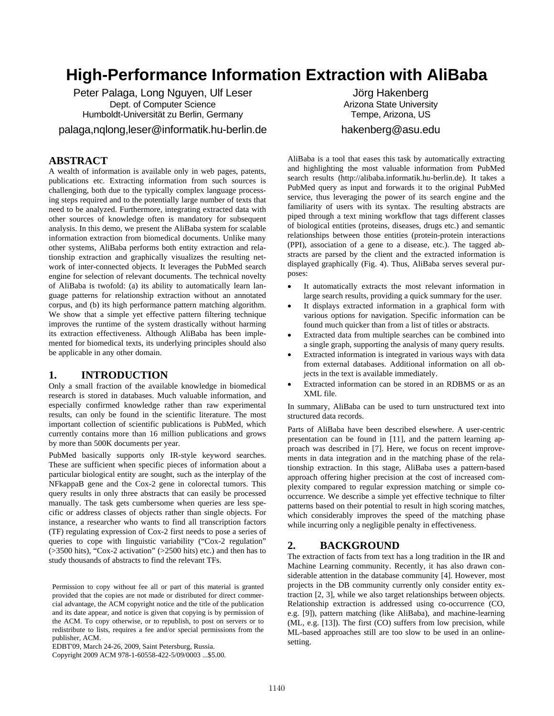# **High-Performance Information Extraction with AliBaba**

Peter Palaga, Long Nguyen, Ulf Leser Dept. of Computer Science Humboldt-Universität zu Berlin, Germany palaga,nqlong,leser@informatik.hu-berlin.de

# **ABSTRACT**

A wealth of information is available only in web pages, patents, publications etc. Extracting information from such sources is challenging, both due to the typically complex language processing steps required and to the potentially large number of texts that need to be analyzed. Furthermore, integrating extracted data with other sources of knowledge often is mandatory for subsequent analysis. In this demo, we present the AliBaba system for scalable information extraction from biomedical documents. Unlike many other systems, AliBaba performs both entity extraction and relationship extraction and graphically visualizes the resulting network of inter-connected objects. It leverages the PubMed search engine for selection of relevant documents. The technical novelty of AliBaba is twofold: (a) its ability to automatically learn language patterns for relationship extraction without an annotated corpus, and (b) its high performance pattern matching algorithm. We show that a simple yet effective pattern filtering technique improves the runtime of the system drastically without harming its extraction effectiveness. Although AliBaba has been implemented for biomedical texts, its underlying principles should also be applicable in any other domain.

# 1. **INTRODUCTION**

Only a small fraction of the available knowledge in biomedical research is stored in databases. Much valuable information, and especially confirmed knowledge rather than raw experimental results, can only be found in the scientific literature. The most important collection of scientific publications is PubMed, which currently contains more than 16 million publications and grows by more than 500K documents per year.

PubMed basically supports only IR-style keyword searches. These are sufficient when specific pieces of information about a particular biological entity are sought, such as the interplay of the NFkappaB gene and the Cox-2 gene in colorectal tumors. This query results in only three abstracts that can easily be processed manually. The task gets cumbersome when queries are less specific or address classes of objects rather than single objects. For instance, a researcher who wants to find all transcription factors (TF) regulating expression of Cox-2 first needs to pose a series of queries to cope with linguistic variability ("Cox-2 regulation" (>3500 hits), "Cox-2 activation" (>2500 hits) etc.) and then has to study thousands of abstracts to find the relevant TFs.

Permission to copy without fee all or part of this material is granted provided that the copies are not made or distributed for direct commercial advantage, the ACM copyright notice and the title of the publication and its date appear, and notice is given that copying is by permission of the ACM. To copy otherwise, or to republish, to post on servers or to redistribute to lists, requires a fee and/or special permissions from the publisher, ACM.

EDBT'09, March 24-26, 2009, Saint Petersburg, Russia.

Copyright 2009 ACM 978-1-60558-422-5/09/0003 ...\$5.00.

Jörg Hakenberg Arizona State University Tempe, Arizona, US hakenberg@asu.edu

AliBaba is a tool that eases this task by automatically extracting and highlighting the most valuable information from PubMed search results (http://alibaba.informatik.hu-berlin.de). It takes a PubMed query as input and forwards it to the original PubMed service, thus leveraging the power of its search engine and the familiarity of users with its syntax. The resulting abstracts are piped through a text mining workflow that tags different classes of biological entities (proteins, diseases, drugs etc.) and semantic relationships between those entities (protein-protein interactions (PPI), association of a gene to a disease, etc.). The tagged abstracts are parsed by the client and the extracted information is displayed graphically (Fig. 4). Thus, AliBaba serves several purposes:

- It automatically extracts the most relevant information in large search results, providing a quick summary for the user.
- It displays extracted information in a graphical form with various options for navigation. Specific information can be found much quicker than from a list of titles or abstracts.
- Extracted data from multiple searches can be combined into a single graph, supporting the analysis of many query results.
- Extracted information is integrated in various ways with data from external databases. Additional information on all objects in the text is available immediately.
- Extracted information can be stored in an RDBMS or as an XML file.

In summary, AliBaba can be used to turn unstructured text into structured data records.

Parts of AliBaba have been described elsewhere. A user-centric presentation can be found in [11], and the pattern learning approach was described in [7]. Here, we focus on recent improvements in data integration and in the matching phase of the relationship extraction. In this stage, AliBaba uses a pattern-based approach offering higher precision at the cost of increased complexity compared to regular expression matching or simple cooccurrence. We describe a simple yet effective technique to filter patterns based on their potential to result in high scoring matches, which considerably improves the speed of the matching phase while incurring only a negligible penalty in effectiveness.

#### **2.** 1B**BACKGROUND**

The extraction of facts from text has a long tradition in the IR and Machine Learning community. Recently, it has also drawn considerable attention in the database community [4]. However, most projects in the DB community currently only consider entity extraction [2, 3], while we also target relationships between objects. Relationship extraction is addressed using co-occurrence (CO, e.g. [9]), pattern matching (like AliBaba), and machine-learning (ML, e.g. [13]). The first (CO) suffers from low precision, while ML-based approaches still are too slow to be used in an onlinesetting.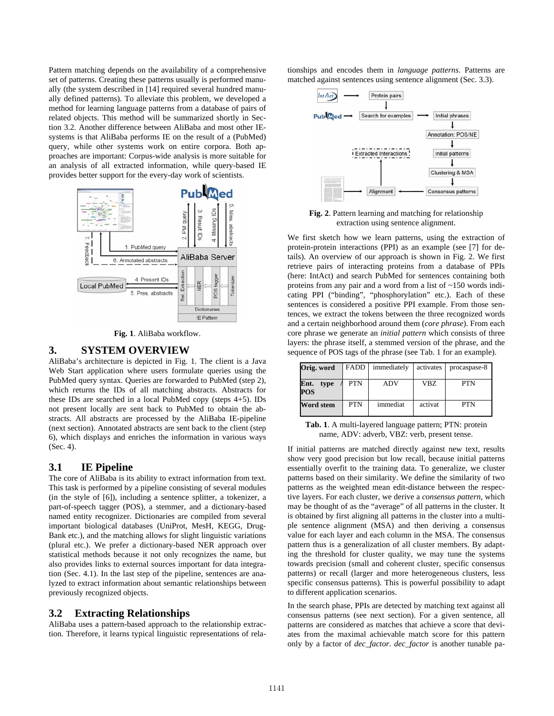Pattern matching depends on the availability of a comprehensive set of patterns. Creating these patterns usually is performed manually (the system described in [14] required several hundred manually defined patterns). To alleviate this problem, we developed a method for learning language patterns from a database of pairs of related objects. This method will be summarized shortly in Section 3.2. Another difference between AliBaba and most other IEsystems is that AliBaba performs IE on the result of a (PubMed) query, while other systems work on entire corpora. Both approaches are important: Corpus-wide analysis is more suitable for an analysis of all extracted information, while query-based IE provides better support for the every-day work of scientists.



**Fig. 1**. AliBaba workflow.

#### **3.** 2B**SYSTEM OVERVIEW**

AliBaba's architecture is depicted in Fig. 1. The client is a Java Web Start application where users formulate queries using the PubMed query syntax. Queries are forwarded to PubMed (step 2), which returns the IDs of all matching abstracts. Abstracts for these IDs are searched in a local PubMed copy (steps 4+5). IDs not present locally are sent back to PubMed to obtain the abstracts. All abstracts are processed by the AliBaba IE-pipeline (next section). Annotated abstracts are sent back to the client (step 6), which displays and enriches the information in various ways (Sec. 4).

#### **3.1** 6B**IE Pipeline**

The core of AliBaba is its ability to extract information from text. This task is performed by a pipeline consisting of several modules (in the style of [6]), including a sentence splitter, a tokenizer, a part-of-speech tagger (POS), a stemmer, and a dictionary-based named entity recognizer. Dictionaries are compiled from several important biological databases (UniProt, MesH, KEGG, Drug-Bank etc.), and the matching allows for slight linguistic variations (plural etc.). We prefer a dictionary-based NER approach over statistical methods because it not only recognizes the name, but also provides links to external sources important for data integration (Sec. 4.1). In the last step of the pipeline, sentences are analyzed to extract information about semantic relationships between previously recognized objects.

#### **3.2** Extracting Relationships

AliBaba uses a pattern-based approach to the relationship extraction. Therefore, it learns typical linguistic representations of relationships and encodes them in *language patterns*. Patterns are matched against sentences using sentence alignment (Sec. 3.3).



**Fig. 2**. Pattern learning and matching for relationship extraction using sentence alignment.

We first sketch how we learn patterns, using the extraction of protein-protein interactions (PPI) as an example (see [7] for details). An overview of our approach is shown in Fig. 2. We first retrieve pairs of interacting proteins from a database of PPIs (here: IntAct) and search PubMed for sentences containing both proteins from any pair and a word from a list of ~150 words indicating PPI ("binding", "phosphorylation" etc.). Each of these sentences is considered a positive PPI example. From those sentences, we extract the tokens between the three recognized words and a certain neighborhood around them (*core phrase*). From each core phrase we generate an *initial pattern* which consists of three layers: the phrase itself, a stemmed version of the phrase, and the sequence of POS tags of the phrase (see Tab. 1 for an example).

| Orig. word                 | <b>FADD</b> | immediately | activates | procaspase-8 |
|----------------------------|-------------|-------------|-----------|--------------|
| Ent.<br>type<br><b>POS</b> | <b>PTN</b>  | <b>ADV</b>  | VBZ       | <b>PTN</b>   |
| Word stem                  | <b>PTN</b>  | immediat    | activat   | <b>PTN</b>   |

**Tab. 1**. A multi-layered language pattern; PTN: protein name, ADV: adverb, VBZ: verb, present tense.

If initial patterns are matched directly against new text, results show very good precision but low recall, because initial patterns essentially overfit to the training data. To generalize, we cluster patterns based on their similarity. We define the similarity of two patterns as the weighted mean edit-distance between the respective layers. For each cluster, we derive a *consensus pattern*, which may be thought of as the "average" of all patterns in the cluster. It is obtained by first aligning all patterns in the cluster into a multiple sentence alignment (MSA) and then deriving a consensus value for each layer and each column in the MSA. The consensus pattern thus is a generalization of all cluster members. By adapting the threshold for cluster quality, we may tune the systems towards precision (small and coherent cluster, specific consensus patterns) or recall (larger and more heterogeneous clusters, less specific consensus patterns). This is powerful possibility to adapt to different application scenarios.

In the search phase, PPIs are detected by matching text against all consensus patterns (see next section). For a given sentence, all patterns are considered as matches that achieve a score that deviates from the maximal achievable match score for this pattern only by a factor of *dec\_factor*. *dec\_factor* is another tunable pa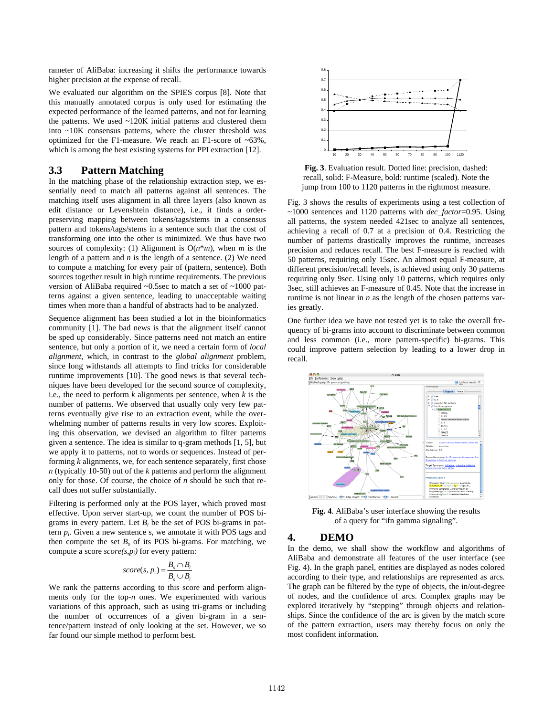rameter of AliBaba: increasing it shifts the performance towards higher precision at the expense of recall.

We evaluated our algorithm on the SPIES corpus [8]. Note that this manually annotated corpus is only used for estimating the expected performance of the learned patterns, and not for learning the patterns. We used ~120K initial patterns and clustered them into ~10K consensus patterns, where the cluster threshold was optimized for the F1-measure. We reach an F1-score of ~63%, which is among the best existing systems for PPI extraction [12].

# **3.3** Pattern Matching

In the matching phase of the relationship extraction step, we essentially need to match all patterns against all sentences. The matching itself uses alignment in all three layers (also known as edit distance or Levenshtein distance), i.e., it finds a orderpreserving mapping between tokens/tags/stems in a consensus pattern and tokens/tags/stems in a sentence such that the cost of transforming one into the other is minimized. We thus have two sources of complexity: (1) Alignment is  $O(n^*m)$ , when *m* is the length of a pattern and *n* is the length of a sentence. (2) We need to compute a matching for every pair of (pattern, sentence). Both sources together result in high runtime requirements. The previous version of AliBaba required ~0.5sec to match a set of ~1000 patterns against a given sentence, leading to unacceptable waiting times when more than a handful of abstracts had to be analyzed.

Sequence alignment has been studied a lot in the bioinformatics community [1]. The bad news is that the alignment itself cannot be sped up considerably. Since patterns need not match an entire sentence, but only a portion of it, we need a certain form of *local alignment*, which, in contrast to the *global alignment* problem, since long withstands all attempts to find tricks for considerable runtime improvements [10]. The good news is that several techniques have been developed for the second source of complexity, i.e., the need to perform *k* alignments per sentence, when *k* is the number of patterns. We observed that usually only very few patterns eventually give rise to an extraction event, while the overwhelming number of patterns results in very low scores. Exploiting this observation, we devised an algorithm to filter patterns given a sentence. The idea is similar to q-gram methods [1, 5], but we apply it to patterns, not to words or sequences. Instead of performing *k* alignments, we, for each sentence separately, first chose *n* (typically 10-50) out of the *k* patterns and perform the alignment only for those. Of course, the choice of *n* should be such that recall does not suffer substantially.

Filtering is performed only at the POS layer, which proved most effective. Upon server start-up, we count the number of POS bigrams in every pattern. Let  $B_i$  be the set of POS bi-grams in pattern  $p_i$ . Given a new sentence s, we annotate it with POS tags and then compute the set  $B<sub>s</sub>$  of its POS bi-grams. For matching, we compute a score *score(s,pi)* for every pattern:

$$
score(s, p_i) = \frac{B_s \cap B_i}{B_s \cup B_i}
$$

We rank the patterns according to this score and perform alignments only for the top-*n* ones. We experimented with various variations of this approach, such as using tri-grams or including the number of occurrences of a given bi-gram in a sentence/pattern instead of only looking at the set. However, we so far found our simple method to perform best.



**Fig. 3**. Evaluation result. Dotted line: precision, dashed: recall, solid: F-Measure, bold: runtime (scaled). Note the jump from 100 to 1120 patterns in the rightmost measure.

Fig. 3 shows the results of experiments using a test collection of ~1000 sentences and 1120 patterns with *dec\_factor*=0.95. Using all patterns, the system needed 421sec to analyze all sentences, achieving a recall of 0.7 at a precision of 0.4. Restricting the number of patterns drastically improves the runtime, increases precision and reduces recall. The best F-measure is reached with 50 patterns, requiring only 15sec. An almost equal F-measure, at different precision/recall levels, is achieved using only 30 patterns requiring only 9sec. Using only 10 patterns, which requires only 3sec, still achieves an F-measure of 0.45. Note that the increase in runtime is not linear in *n* as the length of the chosen patterns varies greatly.

One further idea we have not tested yet is to take the overall frequency of bi-grams into account to discriminate between common and less common (i.e., more pattern-specific) bi-grams. This could improve pattern selection by leading to a lower drop in recall.



**Fig. 4**. AliBaba's user interface showing the results of a query for "ifn gamma signaling".

#### **4.** 3B**DEMO**

In the demo, we shall show the workflow and algorithms of AliBaba and demonstrate all features of the user interface (see Fig. 4). In the graph panel, entities are displayed as nodes colored according to their type, and relationships are represented as arcs. The graph can be filtered by the type of objects, the in/out-degree of nodes, and the confidence of arcs. Complex graphs may be explored iteratively by "stepping" through objects and relationships. Since the confidence of the arc is given by the match score of the pattern extraction, users may thereby focus on only the most confident information.